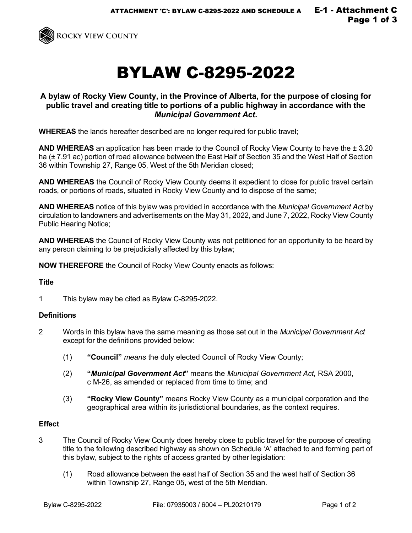

# BYLAW C-8295-2022

## **A bylaw of Rocky View County, in the Province of Alberta, for the purpose of closing for public travel and creating title to portions of a public highway in accordance with the**  *Municipal Government Act***.**

**WHEREAS** the lands hereafter described are no longer required for public travel;

**AND WHEREAS** an application has been made to the Council of Rocky View County to have the ± 3.20 ha ( $\pm$  7.91 ac) portion of road allowance between the East Half of Section 35 and the West Half of Section 36 within Township 27, Range 05, West of the 5th Meridian closed;

**AND WHEREAS** the Council of Rocky View County deems it expedient to close for public travel certain roads, or portions of roads, situated in Rocky View County and to dispose of the same;

**AND WHEREAS** notice of this bylaw was provided in accordance with the *Municipal Government Act* by circulation to landowners and advertisements on the May 31, 2022, and June 7, 2022, Rocky View County Public Hearing Notice;

**AND WHEREAS** the Council of Rocky View County was not petitioned for an opportunity to be heard by any person claiming to be prejudicially affected by this bylaw;

**NOW THEREFORE** the Council of Rocky View County enacts as follows:

#### **Title**

1 This bylaw may be cited as Bylaw C-8295-2022.

#### **Definitions**

- 2 Words in this bylaw have the same meaning as those set out in the *Municipal Government Act* except for the definitions provided below:
	- (1) **"Council"** *means* the duly elected Council of Rocky View County;
	- (2) **"***Municipal Government Act***"** means the *Municipal Government Act,* RSA 2000, c M-26, as amended or replaced from time to time; and
	- (3) **"Rocky View County"** means Rocky View County as a municipal corporation and the geographical area within its jurisdictional boundaries, as the context requires.

#### **Effect**

- 3 The Council of Rocky View County does hereby close to public travel for the purpose of creating title to the following described highway as shown on Schedule 'A' attached to and forming part of this bylaw, subject to the rights of access granted by other legislation:
	- (1) Road allowance between the east half of Section 35 and the west half of Section 36 within Township 27, Range 05, west of the 5th Meridian.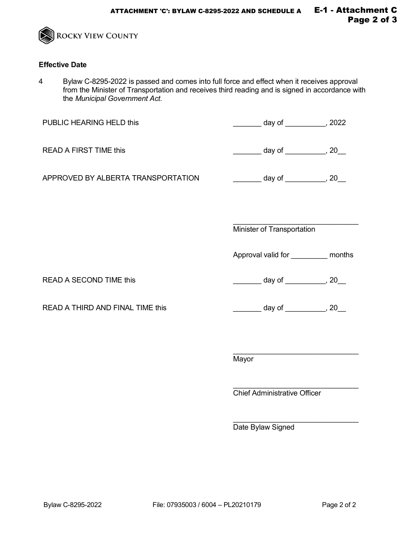

### **Effective Date**

4 Bylaw C-8295-2022 is passed and comes into full force and effect when it receives approval from the Minister of Transportation and receives third reading and is signed in accordance with the *Municipal Government Act*.

| PUBLIC HEARING HELD this           | _______ day of __________, 2022       |  |
|------------------------------------|---------------------------------------|--|
| <b>READ A FIRST TIME this</b>      | ________ day of ___________, 20__     |  |
| APPROVED BY ALBERTA TRANSPORTATION |                                       |  |
|                                    | Minister of Transportation            |  |
|                                    | Approval valid for ___________ months |  |
| <b>READ A SECOND TIME this</b>     | ________ day of ___________, 20__     |  |
| READ A THIRD AND FINAL TIME this   |                                       |  |
|                                    |                                       |  |
|                                    | Mayor                                 |  |
|                                    | Chief Administrative Officer          |  |

\_\_\_\_\_\_\_\_\_\_\_\_\_\_\_\_\_\_\_\_\_\_\_\_\_\_\_\_\_\_\_ Date Bylaw Signed